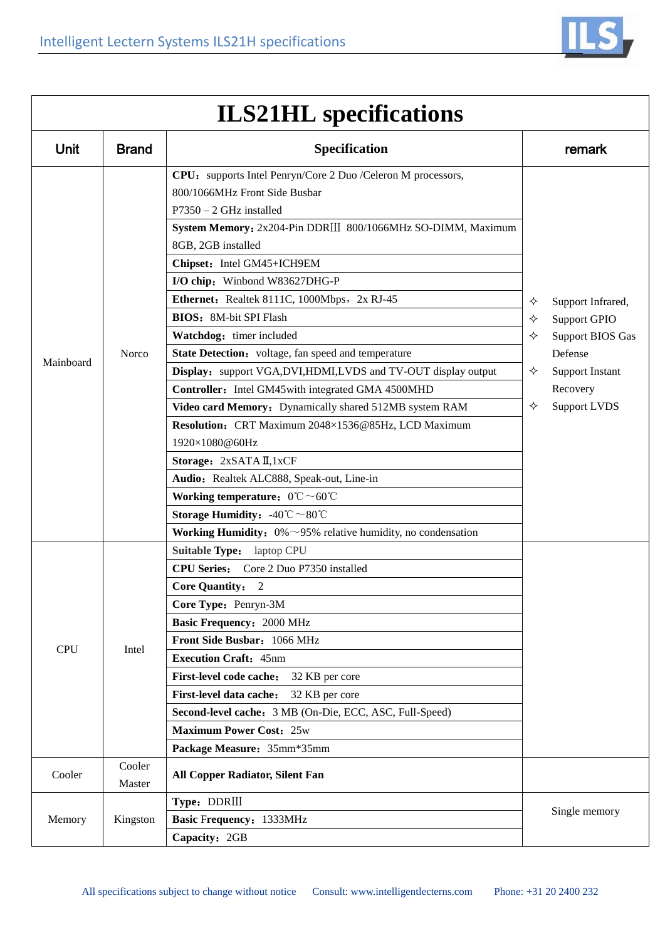

| Unit       | <b>Brand</b>     | Specification                                                                                                              |                  | remark                                                                                                                               |
|------------|------------------|----------------------------------------------------------------------------------------------------------------------------|------------------|--------------------------------------------------------------------------------------------------------------------------------------|
|            | Norco            | CPU: supports Intel Penryn/Core 2 Duo /Celeron M processors,<br>800/1066MHz Front Side Busbar<br>$P7350 - 2$ GHz installed | ✧<br>✧<br>✧<br>✧ | Support Infrared,<br>Support GPIO<br><b>Support BIOS Gas</b><br>Defense<br><b>Support Instant</b><br>Recovery<br><b>Support LVDS</b> |
|            |                  | System Memory: 2x204-Pin DDRIII 800/1066MHz SO-DIMM, Maximum<br>8GB, 2GB installed                                         |                  |                                                                                                                                      |
|            |                  | Chipset: Intel GM45+ICH9EM                                                                                                 |                  |                                                                                                                                      |
|            |                  | I/O chip: Winbond W83627DHG-P                                                                                              |                  |                                                                                                                                      |
|            |                  | Ethernet: Realtek 8111C, 1000Mbps, 2x RJ-45                                                                                |                  |                                                                                                                                      |
|            |                  | <b>BIOS:</b> 8M-bit SPI Flash                                                                                              |                  |                                                                                                                                      |
|            |                  | Watchdog: timer included                                                                                                   |                  |                                                                                                                                      |
|            |                  | State Detection: voltage, fan speed and temperature                                                                        |                  |                                                                                                                                      |
| Mainboard  |                  | Display: support VGA,DVI,HDMI,LVDS and TV-OUT display output                                                               |                  |                                                                                                                                      |
|            |                  | Controller: Intel GM45 with integrated GMA 4500MHD                                                                         |                  |                                                                                                                                      |
|            |                  | Video card Memory: Dynamically shared 512MB system RAM                                                                     | ✧                |                                                                                                                                      |
|            |                  | Resolution: CRT Maximum 2048×1536@85Hz, LCD Maximum                                                                        |                  |                                                                                                                                      |
|            |                  | 1920×1080@60Hz                                                                                                             |                  |                                                                                                                                      |
|            |                  | Storage: 2xSATA II,1xCF                                                                                                    |                  |                                                                                                                                      |
|            |                  | Audio: Realtek ALC888, Speak-out, Line-in                                                                                  |                  |                                                                                                                                      |
|            |                  | Working temperature: $0^{\circ}\text{C} \sim 60^{\circ}\text{C}$                                                           |                  |                                                                                                                                      |
|            |                  | <b>Storage Humidity:</b> $-40^{\circ}\text{C} \sim 80^{\circ}\text{C}$                                                     |                  |                                                                                                                                      |
|            |                  | <b>Working Humidity:</b> $0\% \sim 95\%$ relative humidity, no condensation                                                |                  |                                                                                                                                      |
|            | Intel            | Suitable Type: laptop CPU                                                                                                  |                  |                                                                                                                                      |
|            |                  | CPU Series: Core 2 Duo P7350 installed                                                                                     |                  |                                                                                                                                      |
|            |                  | <b>Core Quantity:</b><br>$\overline{2}$                                                                                    |                  |                                                                                                                                      |
|            |                  | Core Type: Penryn-3M                                                                                                       |                  |                                                                                                                                      |
|            |                  | <b>Basic Frequency: 2000 MHz</b>                                                                                           |                  |                                                                                                                                      |
| <b>CPU</b> |                  | Front Side Busbar: 1066 MHz                                                                                                |                  |                                                                                                                                      |
|            |                  | <b>Execution Craft: 45nm</b>                                                                                               |                  |                                                                                                                                      |
|            |                  | First-level code cache:<br>32 KB per core                                                                                  |                  |                                                                                                                                      |
|            |                  | First-level data cache:<br>32 KB per core                                                                                  |                  |                                                                                                                                      |
|            |                  | Second-level cache: 3 MB (On-Die, ECC, ASC, Full-Speed)                                                                    |                  |                                                                                                                                      |
|            |                  | <b>Maximum Power Cost: 25w</b>                                                                                             |                  |                                                                                                                                      |
|            |                  | Package Measure: 35mm*35mm                                                                                                 |                  |                                                                                                                                      |
| Cooler     | Cooler<br>Master | All Copper Radiator, Silent Fan                                                                                            |                  |                                                                                                                                      |
| Memory     | Kingston         | Type: DDRIII                                                                                                               | Single memory    |                                                                                                                                      |
|            |                  | Basic Frequency: 1333MHz                                                                                                   |                  |                                                                                                                                      |
|            |                  | Capacity: 2GB                                                                                                              |                  |                                                                                                                                      |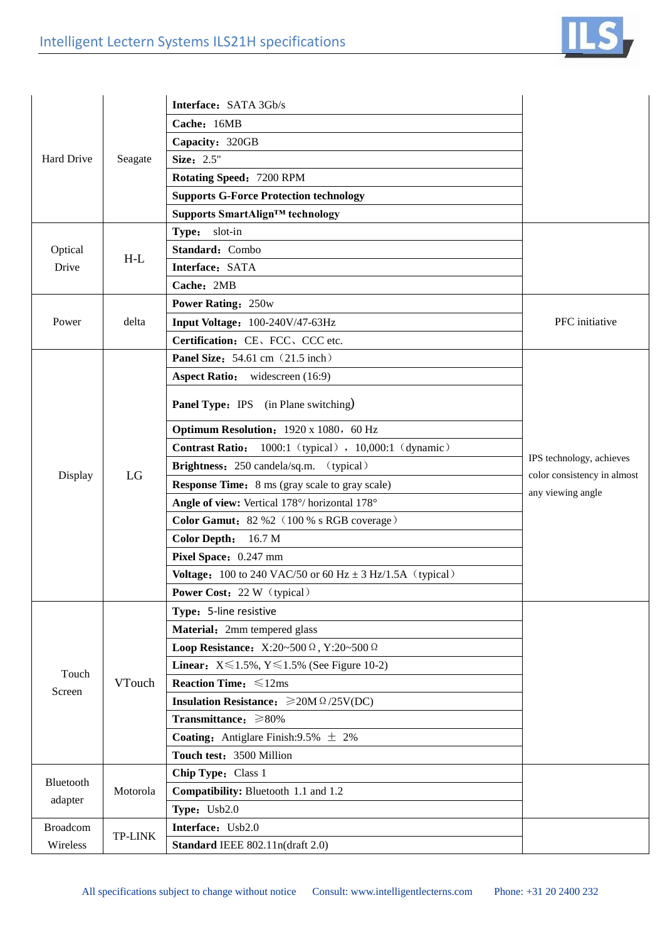

|                      |                            | Interface: SATA 3Gb/s                                                |                             |
|----------------------|----------------------------|----------------------------------------------------------------------|-----------------------------|
| Hard Drive           |                            | Cache: 16MB                                                          |                             |
|                      |                            | Capacity: 320GB                                                      |                             |
|                      | Seagate                    | Size: 2.5"                                                           |                             |
|                      |                            | Rotating Speed: 7200 RPM                                             |                             |
|                      |                            | <b>Supports G-Force Protection technology</b>                        |                             |
|                      |                            | Supports SmartAlign™ technology                                      |                             |
|                      | $H-L$                      | Type: slot-in                                                        |                             |
| Optical<br>Drive     |                            | Standard: Combo                                                      |                             |
|                      |                            | Interface: SATA                                                      |                             |
|                      |                            | Cache: 2MB                                                           |                             |
|                      | delta                      | <b>Power Rating: 250w</b>                                            |                             |
| Power                |                            | Input Voltage: 100-240V/47-63Hz                                      | PFC initiative              |
|                      |                            | Certification: CE, FCC, CCC etc.                                     |                             |
|                      |                            | Panel Size: 54.61 cm (21.5 inch)                                     |                             |
|                      |                            | <b>Aspect Ratio:</b> widescreen (16:9)                               |                             |
|                      |                            | <b>Panel Type:</b> IPS (in Plane switching)                          |                             |
|                      |                            |                                                                      |                             |
|                      |                            | <b>Optimum Resolution:</b> 1920 x 1080, 60 Hz                        |                             |
|                      |                            | Contrast Ratio: 1000:1 (typical), 10,000:1 (dynamic)                 | IPS technology, achieves    |
| Display              | LG                         | Brightness: 250 candela/sq.m. (typical)                              | color consistency in almost |
|                      |                            | <b>Response Time:</b> 8 ms (gray scale to gray scale)                | any viewing angle           |
|                      |                            | Angle of view: Vertical 178°/ horizontal 178°                        |                             |
|                      |                            | Color Gamut: 82 %2 (100 % s RGB coverage)                            |                             |
|                      |                            | <b>Color Depth:</b><br>16.7 <sub>M</sub>                             |                             |
|                      |                            | Pixel Space: 0.247 mm                                                |                             |
|                      |                            | <b>Voltage:</b> 100 to 240 VAC/50 or 60 Hz $\pm$ 3 Hz/1.5A (typical) |                             |
|                      |                            | <b>Power Cost:</b> 22 W (typical)                                    |                             |
|                      | VTouch                     | Type: 5-line resistive                                               |                             |
|                      |                            | Material: 2mm tempered glass                                         |                             |
|                      |                            | Loop Resistance: X:20~500 $\Omega$ , Y:20~500 $\Omega$               |                             |
| Touch                |                            | <b>Linear:</b> $X \le 1.5\%$ , $Y \le 1.5\%$ (See Figure 10-2)       |                             |
| Screen               |                            | <b>Reaction Time:</b> $\leq 12ms$                                    |                             |
|                      |                            | Insulation Resistance: $\geq 20M \Omega / 25V(DC)$                   |                             |
|                      |                            | Transmittance: ≥80%                                                  |                             |
|                      |                            | <b>Coating:</b> Antiglare Finish:9.5% $\pm$ 2%                       |                             |
|                      |                            | Touch test: 3500 Million                                             |                             |
| Bluetooth<br>adapter | Motorola                   | Chip Type: Class 1                                                   |                             |
|                      |                            | Compatibility: Bluetooth 1.1 and 1.2                                 |                             |
|                      |                            | Type: Usb2.0                                                         |                             |
| <b>Broadcom</b>      | <b>TP-LINK</b><br>Wireless | Interface: Usb2.0                                                    |                             |
|                      |                            | Standard IEEE 802.11n(draft 2.0)                                     |                             |